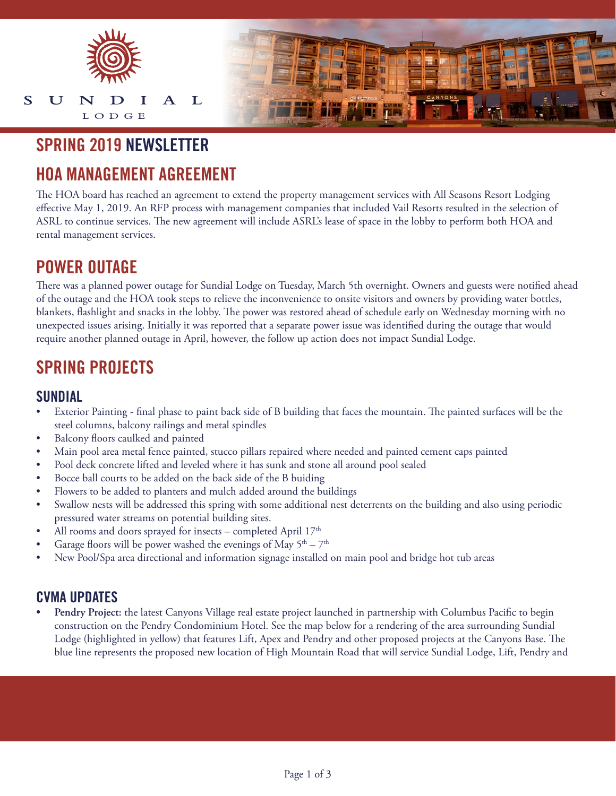

LODGE



# **SPRING 2019 NEWSLETTER**

# **HOA MANAGEMENT AGREEMENT**

I

 $\mathbf{L}$ 

 $\mathbf{A}$ 

The HOA board has reached an agreement to extend the property management services with All Seasons Resort Lodging effective May 1, 2019. An RFP process with management companies that included Vail Resorts resulted in the selection of ASRL to continue services. The new agreement will include ASRL's lease of space in the lobby to perform both HOA and rental management services.

# **POWER OUTAGE**

There was a planned power outage for Sundial Lodge on Tuesday, March 5th overnight. Owners and guests were notified ahead of the outage and the HOA took steps to relieve the inconvenience to onsite visitors and owners by providing water bottles, blankets, flashlight and snacks in the lobby. The power was restored ahead of schedule early on Wednesday morning with no unexpected issues arising. Initially it was reported that a separate power issue was identified during the outage that would require another planned outage in April, however, the follow up action does not impact Sundial Lodge.

# **SPRING PROJECTS**

#### **SUNDIAL**

S

U

N

- Exterior Painting final phase to paint back side of B building that faces the mountain. The painted surfaces will be the steel columns, balcony railings and metal spindles
- Balcony floors caulked and painted
- Main pool area metal fence painted, stucco pillars repaired where needed and painted cement caps painted
- Pool deck concrete lifted and leveled where it has sunk and stone all around pool sealed
- Bocce ball courts to be added on the back side of the B buiding
- Flowers to be added to planters and mulch added around the buildings
- Swallow nests will be addressed this spring with some additional nest deterrents on the building and also using periodic pressured water streams on potential building sites.
- All rooms and doors sprayed for insects completed April  $17<sup>th</sup>$
- Garage floors will be power washed the evenings of May  $5<sup>th</sup> 7<sup>th</sup>$
- New Pool/Spa area directional and information signage installed on main pool and bridge hot tub areas

#### **CVMA UPDATES**

**• Pendry Project:** the latest Canyons Village real estate project launched in partnership with Columbus Pacific to begin construction on the Pendry Condominium Hotel. See the map below for a rendering of the area surrounding Sundial Lodge (highlighted in yellow) that features Lift, Apex and Pendry and other proposed projects at the Canyons Base. The blue line represents the proposed new location of High Mountain Road that will service Sundial Lodge, Lift, Pendry and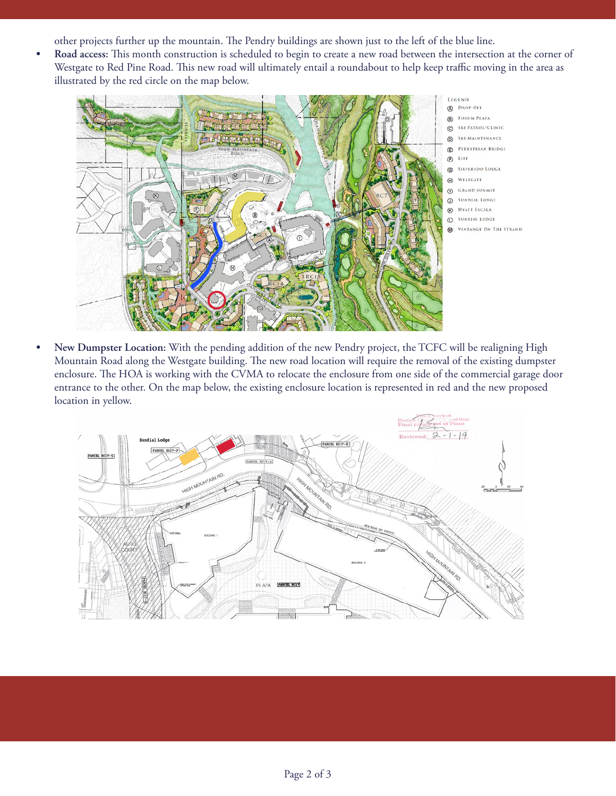other projects further up the mountain. The Pendry buildings are shown just to the left of the blue line.

Road access: This month construction is scheduled to begin to create a new road between the intersection at the corner of  $\bullet$ Westgate to Red Pine Road. This new road will ultimately entail a roundabout to help keep traffic moving in the area as illustrated by the red circle on the map below.



New Dumpster Location: With the pending addition of the new Pendry project, the TCFC will be realigning High Mountain Road along the Westgate building. The new road location will require the removal of the existing dumpster enclosure. The HOA is working with the CVMA to relocate the enclosure from one side of the commercial garage door entrance to the other. On the map below, the existing enclosure location is represented in red and the new proposed location in yellow.